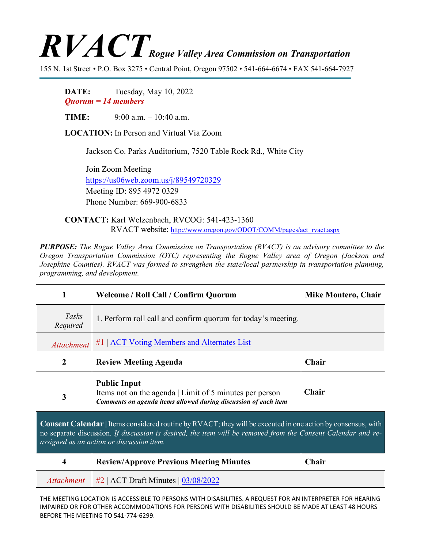## $\boldsymbol{RVI}$   $CT$  Rogue Valley Area Commission on Transportation

155 N. 1st Street • P.O. Box 3275 • Central Point, Oregon 97502 • 541-664-6674 • FAX 541-664-7927

**DATE:** Tuesday, May 10, 2022 *Quorum = 14 members*

**TIME:** 9:00 a.m. – 10:40 a.m.

**LOCATION:** In Person and Virtual Via Zoom

Jackson Co. Parks Auditorium, 7520 Table Rock Rd., White City

Join Zoom Meeting <https://us06web.zoom.us/j/89549720329> Meeting ID: 895 4972 0329 Phone Number: 669-900-6833

**CONTACT:** Karl Welzenbach, RVCOG: 541-423-1360 RVACT website: [http://www.oregon.gov/ODOT/COMM/pages/act\\_rvact.aspx](http://www.oregon.gov/ODOT/COMM/pages/act_rvact.aspx)

*PURPOSE: The Rogue Valley Area Commission on Transportation (RVACT) is an advisory committee to the Oregon Transportation Commission (OTC) representing the Rogue Valley area of Oregon (Jackson and Josephine Counties). RVACT was formed to strengthen the state/local partnership in transportation planning, programming, and development.*

| 1                                                                                                                                                                                                                                                                                | <b>Welcome / Roll Call / Confirm Quorum</b>                                                                                                       | <b>Mike Montero, Chair</b> |  |
|----------------------------------------------------------------------------------------------------------------------------------------------------------------------------------------------------------------------------------------------------------------------------------|---------------------------------------------------------------------------------------------------------------------------------------------------|----------------------------|--|
| Tasks<br>Required                                                                                                                                                                                                                                                                | 1. Perform roll call and confirm quorum for today's meeting.                                                                                      |                            |  |
| <b>Attachment</b>                                                                                                                                                                                                                                                                | $#1$   $\triangle$ CT Voting Members and Alternates List                                                                                          |                            |  |
| $\mathbf{2}$                                                                                                                                                                                                                                                                     | <b>Review Meeting Agenda</b>                                                                                                                      | Chair                      |  |
| $\overline{\mathbf{3}}$                                                                                                                                                                                                                                                          | <b>Public Input</b><br>Items not on the agenda   Limit of 5 minutes per person<br>Comments on agenda items allowed during discussion of each item | Chair                      |  |
| <b>Consent Calendar</b>   Items considered routine by RVACT; they will be executed in one action by consensus, with<br>no separate discussion. If discussion is desired, the item will be removed from the Consent Calendar and re-<br>assigned as an action or discussion item. |                                                                                                                                                   |                            |  |
| 4                                                                                                                                                                                                                                                                                | <b>Review/Approve Previous Meeting Minutes</b>                                                                                                    | Chair                      |  |
| <b>Attachment</b>                                                                                                                                                                                                                                                                | $#2$   ACT Draft Minutes   $03/08/2022$                                                                                                           |                            |  |

THE MEETING LOCATION IS ACCESSIBLE TO PERSONS WITH DISABILITIES. A REQUEST FOR AN INTERPRETER FOR HEARING IMPAIRED OR FOR OTHER ACCOMMODATIONS FOR PERSONS WITH DISABILITIES SHOULD BE MADE AT LEAST 48 HOURS BEFORE THE MEETING TO 541-774-6299.